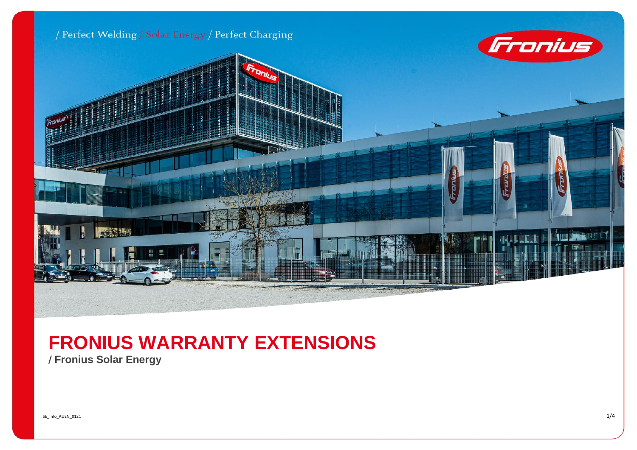

## **FRONIUS WARRANTY EXTENSIONS**

/ **Fronius Solar Energy**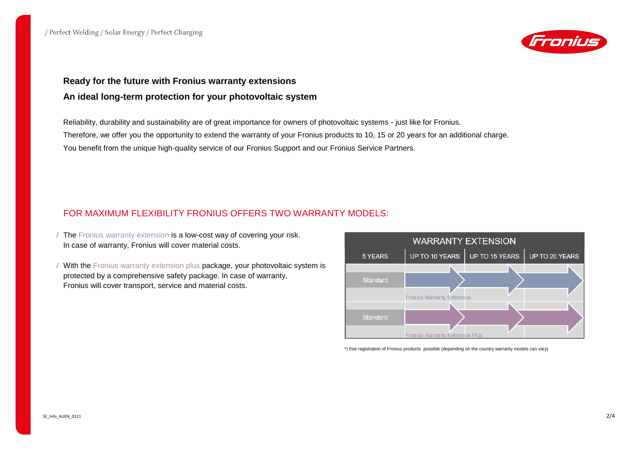

## **Ready for the future with Fronius warranty extensions An ideal long-term protection for your photovoltaic system**

Reliability, durability and sustainability are of great importance for owners of photovoltaic systems - just like for Fronius. Therefore, we offer you the opportunity to extend the warranty of your Fronius products to 10, 15 or 20 years for an additional charge. You benefit from the unique high-quality service of our Fronius Support and our Fronius Service Partners.

## FOR MAXIMUM FLEXIBILITY FRONIUS OFFERS TWO WARRANTY MODELS:

- The Fronius warranty extension is a low-cost way of covering your risk. In case of warranty, Fronius will cover material costs.
- / With the Fronius warranty extension plus package, your photovoltaic system is protected by a comprehensive safety package. In case of warranty, Fronius will cover transport, service and material costs.



\*) free registration of Fronius products possible (depending on the country warranty models can vary)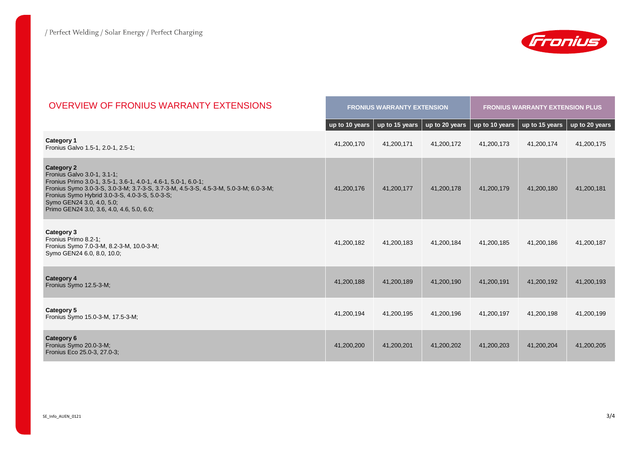

| <b>OVERVIEW OF FRONIUS WARRANTY EXTENSIONS</b>                                                                                                                                                                                                                                                                                         |                | <b>FRONIUS WARRANTY EXTENSION</b> |                | <b>FRONIUS WARRANTY EXTENSION PLUS</b> |                |                |  |
|----------------------------------------------------------------------------------------------------------------------------------------------------------------------------------------------------------------------------------------------------------------------------------------------------------------------------------------|----------------|-----------------------------------|----------------|----------------------------------------|----------------|----------------|--|
|                                                                                                                                                                                                                                                                                                                                        | up to 10 years | $up$ to 15 years                  | up to 20 years | up to 10 years                         | up to 15 years | up to 20 years |  |
| Category 1<br>Fronius Galvo 1.5-1, 2.0-1, 2.5-1;                                                                                                                                                                                                                                                                                       | 41,200,170     | 41,200,171                        | 41,200,172     | 41,200,173                             | 41,200,174     | 41,200,175     |  |
| <b>Category 2</b><br>Fronius Galvo 3.0-1, 3.1-1;<br>Fronius Primo 3.0-1, 3.5-1, 3.6-1, 4.0-1, 4.6-1, 5.0-1, 6.0-1;<br>Fronius Symo 3.0-3-S, 3.0-3-M; 3.7-3-S, 3.7-3-M, 4.5-3-S, 4.5-3-M, 5.0-3-M; 6.0-3-M;<br>Fronius Symo Hybrid 3.0-3-S, 4.0-3-S, 5.0-3-S;<br>Symo GEN24 3.0, 4.0, 5.0;<br>Primo GEN24 3.0, 3.6, 4.0, 4.6, 5.0, 6.0; | 41,200,176     | 41,200,177                        | 41,200,178     | 41,200,179                             | 41,200,180     | 41,200,181     |  |
| Category 3<br>Fronius Primo 8.2-1;<br>Fronius Symo 7.0-3-M, 8.2-3-M, 10.0-3-M;<br>Symo GEN24 6.0, 8.0, 10.0;                                                                                                                                                                                                                           | 41,200,182     | 41,200,183                        | 41,200,184     | 41,200,185                             | 41,200,186     | 41,200,187     |  |
| <b>Category 4</b><br>Fronius Symo 12.5-3-M;                                                                                                                                                                                                                                                                                            | 41,200,188     | 41,200,189                        | 41,200,190     | 41,200,191                             | 41,200,192     | 41,200,193     |  |
| Category 5<br>Fronius Symo 15.0-3-M, 17.5-3-M;                                                                                                                                                                                                                                                                                         | 41,200,194     | 41,200,195                        | 41,200,196     | 41,200,197                             | 41,200,198     | 41,200,199     |  |
| <b>Category 6</b><br>Fronius Symo 20.0-3-M;<br>Fronius Eco 25.0-3, 27.0-3;                                                                                                                                                                                                                                                             | 41,200,200     | 41,200,201                        | 41,200,202     | 41,200,203                             | 41,200,204     | 41,200,205     |  |